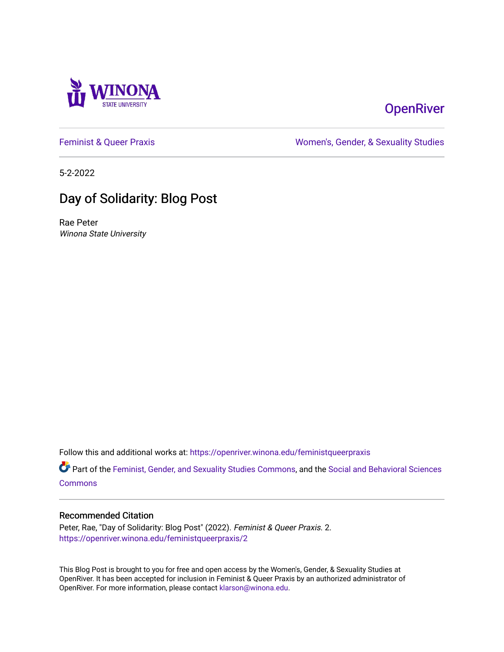

## **OpenRiver**

[Feminist & Queer Praxis](https://openriver.winona.edu/feministqueerpraxis) **Example 20** and the Momen's, Gender, & Sexuality Studies

5-2-2022

# Day of Solidarity: Blog Post

Rae Peter Winona State University

Follow this and additional works at: [https://openriver.winona.edu/feministqueerpraxis](https://openriver.winona.edu/feministqueerpraxis?utm_source=openriver.winona.edu%2Ffeministqueerpraxis%2F2&utm_medium=PDF&utm_campaign=PDFCoverPages)

Part of the [Feminist, Gender, and Sexuality Studies Commons](http://network.bepress.com/hgg/discipline/559?utm_source=openriver.winona.edu%2Ffeministqueerpraxis%2F2&utm_medium=PDF&utm_campaign=PDFCoverPages), and the Social and Behavioral Sciences **[Commons](http://network.bepress.com/hgg/discipline/316?utm_source=openriver.winona.edu%2Ffeministqueerpraxis%2F2&utm_medium=PDF&utm_campaign=PDFCoverPages)** 

## Recommended Citation

Peter, Rae, "Day of Solidarity: Blog Post" (2022). Feminist & Queer Praxis. 2. [https://openriver.winona.edu/feministqueerpraxis/2](https://openriver.winona.edu/feministqueerpraxis/2?utm_source=openriver.winona.edu%2Ffeministqueerpraxis%2F2&utm_medium=PDF&utm_campaign=PDFCoverPages) 

This Blog Post is brought to you for free and open access by the Women's, Gender, & Sexuality Studies at OpenRiver. It has been accepted for inclusion in Feminist & Queer Praxis by an authorized administrator of OpenRiver. For more information, please contact [klarson@winona.edu](mailto:klarson@winona.edu).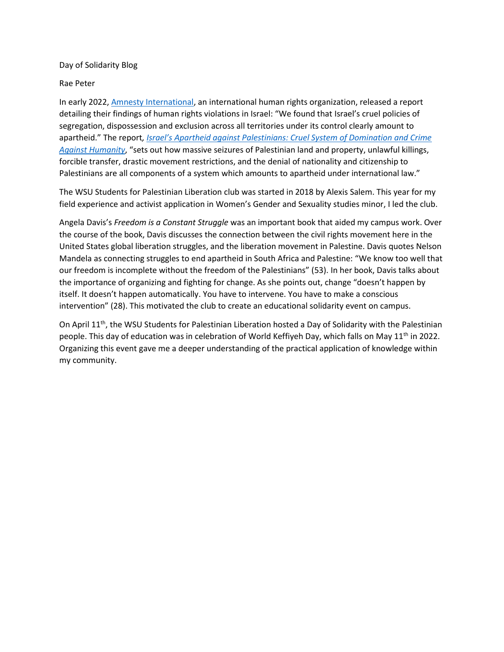### Day of Solidarity Blog

#### Rae Peter

In early 2022, [Amnesty International,](https://www.amnesty.org/en/latest/news/2022/02/israels-apartheid-against-palestinians-a-cruel-system-of-domination-and-a-crime-against-humanity/) an international human rights organization, released a report detailing their findings of human rights violations in Israel: "We found that Israel's cruel policies of segregation, dispossession and exclusion across all territories under its control clearly amount to apartheid." The report*, [Israel's Apartheid against Palestinians: Cruel System of Domination and Crime](https://www.amnesty.org/en/documents/mde15/5141/2022/en/)  [Against Humanity](https://www.amnesty.org/en/documents/mde15/5141/2022/en/)*, "sets out how massive seizures of Palestinian land and property, unlawful killings, forcible transfer, drastic movement restrictions, and the denial of nationality and citizenship to Palestinians are all components of a system which amounts to apartheid under international law."

The WSU Students for Palestinian Liberation club was started in 2018 by Alexis Salem. This year for my field experience and activist application in Women's Gender and Sexuality studies minor, I led the club.

Angela Davis's *Freedom is a Constant Struggle* was an important book that aided my campus work. Over the course of the book, Davis discusses the connection between the civil rights movement here in the United States global liberation struggles, and the liberation movement in Palestine. Davis quotes Nelson Mandela as connecting struggles to end apartheid in South Africa and Palestine: "We know too well that our freedom is incomplete without the freedom of the Palestinians" (53). In her book, Davis talks about the importance of organizing and fighting for change. As she points out, change "doesn't happen by itself. It doesn't happen automatically. You have to intervene. You have to make a conscious intervention" (28). This motivated the club to create an educational solidarity event on campus.

On April 11<sup>th</sup>, the WSU Students for Palestinian Liberation hosted a Day of Solidarity with the Palestinian people. This day of education was in celebration of World Keffiyeh Day, which falls on May 11<sup>th</sup> in 2022. Organizing this event gave me a deeper understanding of the practical application of knowledge within my community.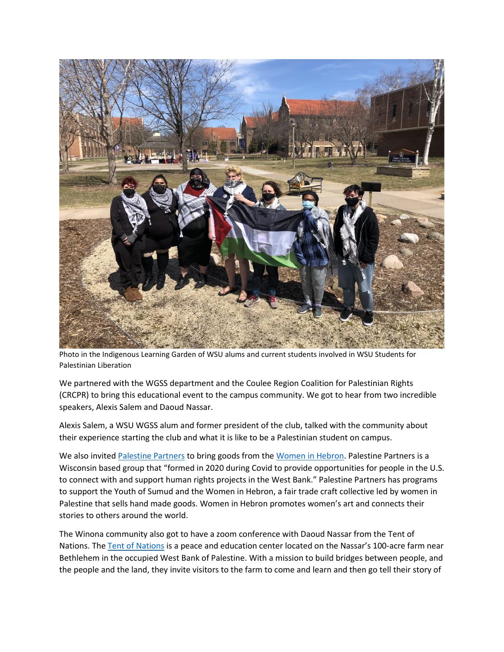

Photo in the Indigenous Learning Garden of WSU alums and current students involved in WSU Students for Palestinian Liberation

We partnered with the WGSS department and the Coulee Region Coalition for Palestinian Rights (CRCPR) to bring this educational event to the campus community. We got to hear from two incredible speakers, Alexis Salem and Daoud Nassar.

Alexis Salem, a WSU WGSS alum and former president of the club, talked with the community about their experience starting the club and what it is like to be a Palestinian student on campus.

We also invite[d Palestine Partners](https://palestinepartners.org/) to bring goods from th[e Women in Hebron.](https://palestinepartners.org/about-women-in-hebron) Palestine Partners is a Wisconsin based group that "formed in 2020 during Covid to provide opportunities for people in the U.S. to connect with and support human rights projects in the West Bank." Palestine Partners has programs to support the Youth of Sumud and the Women in Hebron, a fair trade craft collective led by women in Palestine that sells hand made goods. Women in Hebron promotes women's art and connects their stories to others around the world.

The Winona community also got to have a zoom conference with Daoud Nassar from the Tent of Nations. The [Tent of Nations](http://www.tentofnations.org/) is a peace and education center located on the Nassar's 100-acre farm near Bethlehem in the occupied West Bank of Palestine. With a mission to build bridges between people, and the people and the land, they invite visitors to the farm to come and learn and then go tell their story of